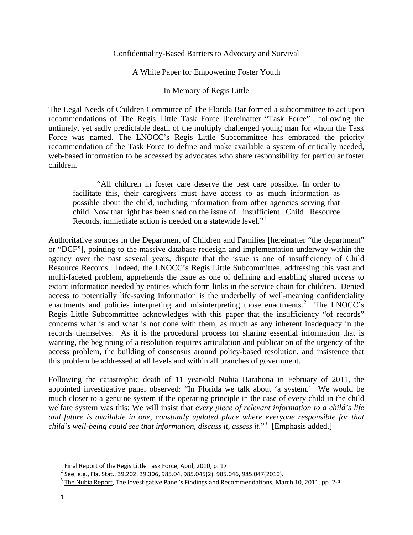## Confidentiality-Based Barriers to Advocacy and Survival

## A White Paper for Empowering Foster Youth

### In Memory of Regis Little

The Legal Needs of Children Committee of The Florida Bar formed a subcommittee to act upon recommendations of The Regis Little Task Force [hereinafter "Task Force"], following the untimely, yet sadly predictable death of the multiply challenged young man for whom the Task Force was named. The LNOCC's Regis Little Subcommittee has embraced the priority recommendation of the Task Force to define and make available a system of critically needed, web-based information to be accessed by advocates who share responsibility for particular foster children.

 "All children in foster care deserve the best care possible. In order to facilitate this, their caregivers must have access to as much information as possible about the child, including information from other agencies serving that child. Now that light has been shed on the issue of insufficient Child Resource Records, immediate action is needed on a statewide level."

Authoritative sources in the Department of Children and Families [hereinafter "the department" or "DCF"], pointing to the massive database redesign and implementation underway within the agency over the past several years, dispute that the issue is one of insufficiency of Child Resource Records. Indeed, the LNOCC's Regis Little Subcommittee, addressing this vast and multi-faceted problem, apprehends the issue as one of defining and enabling shared *access* to extant information needed by entities which form links in the service chain for children. Denied access to potentially life-saving information is the underbelly of well-meaning confidentiality enactments and policies interpreting and misinterpreting those enactments.<sup>[2](#page-0-1)</sup> The LNOCC's Regis Little Subcommittee acknowledges with this paper that the insufficiency "of records" concerns what is and what is not done with them, as much as any inherent inadequacy in the records themselves. As it is the procedural process for sharing essential information that is wanting, the beginning of a resolution requires articulation and publication of the urgency of the access problem, the building of consensus around policy-based resolution, and insistence that this problem be addressed at all levels and within all branches of government.

Following the catastrophic death of 11 year-old Nubia Barahona in February of 2011, the appointed investigative panel observed: "In Florida we talk about 'a system.' We would be much closer to a genuine system if the operating principle in the case of every child in the child welfare system was this: We will insist that *every piece of relevant information to a child's life and future is available in one, constantly updated place where everyone responsible for that child's well-being could see that information, discuss it, assess it*."[3](#page-0-2) [Emphasis added.]

<span id="page-0-2"></span><span id="page-0-1"></span>

<span id="page-0-0"></span> $\frac{1}{2}$  Final Report of the Regis Little Task Force, April, 2010, p. 17<br>  $\frac{2}{3}$  See, e.g., Fla. Stat., 39.202, 39.306, 985.04, 985.045(2), 985.046, 985.047(2010).<br>  $\frac{3}{3}$  The Nubia Report, The Investigative Panel'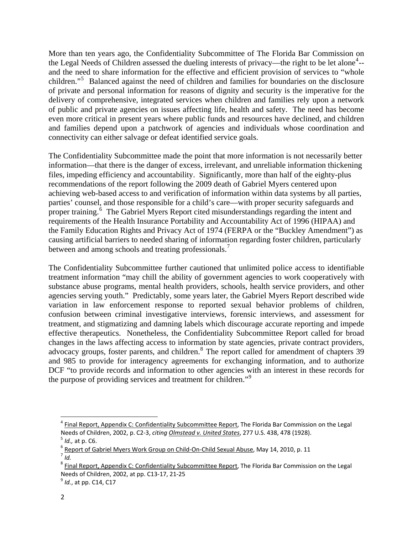More than ten years ago, the Confidentiality Subcommittee of The Florida Bar Commission on the Legal Needs of Children assessed the dueling interests of privacy—the right to be let alone<sup>[4](#page-1-0)</sup>-and the need to share information for the effective and efficient provision of services to "whole children."[5](#page-1-1) Balanced against the need of children and families for boundaries on the disclosure of private and personal information for reasons of dignity and security is the imperative for the delivery of comprehensive, integrated services when children and families rely upon a network of public and private agencies on issues affecting life, health and safety. The need has become even more critical in present years where public funds and resources have declined, and children and families depend upon a patchwork of agencies and individuals whose coordination and connectivity can either salvage or defeat identified service goals.

The Confidentiality Subcommittee made the point that more information is not necessarily better information—that there is the danger of excess, irrelevant, and unreliable information thickening files, impeding efficiency and accountability. Significantly, more than half of the eighty-plus recommendations of the report following the 2009 death of Gabriel Myers centered upon achieving web-based access to and verification of information within data systems by all parties, parties' counsel, and those responsible for a child's care—with proper security safeguards and proper training.<sup>[6](#page-1-2)</sup> The Gabriel Myers Report cited misunderstandings regarding the intent and requirements of the Health Insurance Portability and Accountability Act of 1996 (HIPAA) and the Family Education Rights and Privacy Act of 1974 (FERPA or the "Buckley Amendment") as causing artificial barriers to needed sharing of information regarding foster children, particularly between and among schools and treating professionals.<sup>[7](#page-1-3)</sup>

The Confidentiality Subcommittee further cautioned that unlimited police access to identifiable treatment information "may chill the ability of government agencies to work cooperatively with substance abuse programs, mental health providers, schools, health service providers, and other agencies serving youth." Predictably, some years later, the Gabriel Myers Report described wide variation in law enforcement response to reported sexual behavior problems of children, confusion between criminal investigative interviews, forensic interviews, and assessment for treatment, and stigmatizing and damning labels which discourage accurate reporting and impede effective therapeutics. Nonetheless, the Confidentiality Subcommittee Report called for broad changes in the laws affecting access to information by state agencies, private contract providers, advocacy groups, foster parents, and children.<sup>[8](#page-1-4)</sup> The report called for amendment of chapters 39 and 985 to provide for interagency agreements for exchanging information, and to authorize DCF "to provide records and information to other agencies with an interest in these records for the purpose of providing services and treatment for children."[9](#page-1-5)

<span id="page-1-0"></span><sup>&</sup>lt;sup>4</sup> Final Report, Appendix C: Confidentiality Subcommittee Report, The Florida Bar Commission on the Legal Needs of Children, 2002, p. C2-3, citing Olmstead v. United States, 277 U.S. 438, 478 (1928).<br>
<sup>5</sup> Id., at p. C6.<br>
<u>6 Report of Gabriel Myers Work Group on Child-On-Child Sexual Abuse</u>, May 14, 2010, p. 11<br>
<sup>7</sup> Id.

<span id="page-1-2"></span><span id="page-1-1"></span>

<span id="page-1-4"></span><span id="page-1-3"></span><sup>&</sup>lt;sup>8</sup> Final Report, Appendix C: Confidentiality Subcommittee Report, The Florida Bar Commission on the Legal Needs of Children, 2002, at pp. C13-17, 21-25<br><sup>9</sup> *Id.*, at pp. C14, C17

<span id="page-1-5"></span>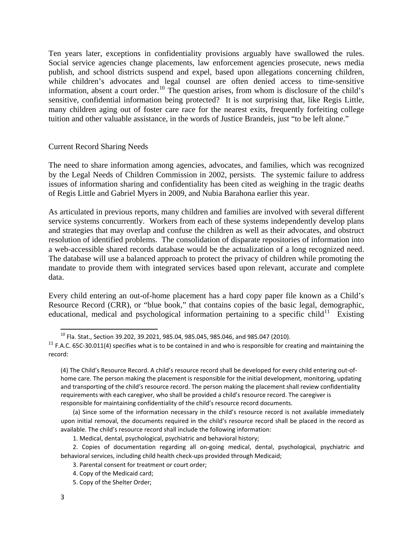Ten years later, exceptions in confidentiality provisions arguably have swallowed the rules. Social service agencies change placements, law enforcement agencies prosecute, news media publish, and school districts suspend and expel, based upon allegations concerning children, while children's advocates and legal counsel are often denied access to time-sensitive information, absent a court order.<sup>[10](#page-2-0)</sup> The question arises, from whom is disclosure of the child's sensitive, confidential information being protected? It is not surprising that, like Regis Little, many children aging out of foster care race for the nearest exits, frequently forfeiting college tuition and other valuable assistance, in the words of Justice Brandeis, just "to be left alone."

#### Current Record Sharing Needs

The need to share information among agencies, advocates, and families, which was recognized by the Legal Needs of Children Commission in 2002, persists. The systemic failure to address issues of information sharing and confidentiality has been cited as weighing in the tragic deaths of Regis Little and Gabriel Myers in 2009, and Nubia Barahona earlier this year.

As articulated in previous reports, many children and families are involved with several different service systems concurrently. Workers from each of these systems independently develop plans and strategies that may overlap and confuse the children as well as their advocates, and obstruct resolution of identified problems. The consolidation of disparate repositories of information into a web-accessible shared records database would be the actualization of a long recognized need. The database will use a balanced approach to protect the privacy of children while promoting the mandate to provide them with integrated services based upon relevant, accurate and complete data.

Every child entering an out-of-home placement has a hard copy paper file known as a Child's Resource Record (CRR), or "blue book," that contains copies of the basic legal, demographic, educational, medical and psychological information pertaining to a specific child<sup>[11](#page-2-1)</sup> Existing

 $^{10}$  Fla. Stat., Section 39.202, 39.2021, 985.04, 985.045, 985.046, and 985.047 (2010).

<span id="page-2-1"></span><span id="page-2-0"></span><sup>&</sup>lt;sup>11</sup> F.A.C. 65C-30.011(4) specifies what is to be contained in and who is responsible for creating and maintaining the record:

<sup>(4)</sup> The Child's Resource Record. A child's resource record shall be developed for every child entering out‐of‐ home care. The person making the placement is responsible for the initial development, monitoring, updating and transporting of the child's resource record. The person making the placement shall review confidentiality requirements with each caregiver, who shall be provided a child's resource record. The caregiver is responsible for maintaining confidentiality of the child's resource record documents.

<sup>(</sup>a) Since some of the information necessary in the child's resource record is not available immediately upon initial removal, the documents required in the child's resource record shall be placed in the record as available. The child's resource record shall include the following information:

<sup>1.</sup> Medical, dental, psychological, psychiatric and behavioral history;

<sup>2.</sup> Copies of documentation regarding all on‐going medical, dental, psychological, psychiatric and behavioral services, including child health check-ups provided through Medicaid;

<sup>3.</sup> Parental consent for treatment or court order;

<sup>4.</sup> Copy of the Medicaid card;

<sup>5.</sup> Copy of the Shelter Order;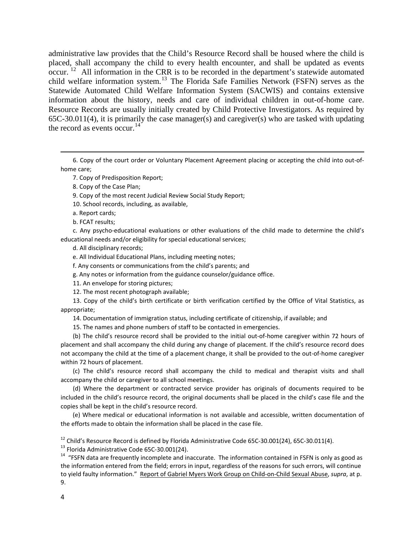administrative law provides that the Child's Resource Record shall be housed where the child is placed, shall accompany the child to every health encounter, and shall be updated as events occur.<sup>[12](#page-3-0)</sup> All information in the CRR is to be recorded in the department's statewide automated child welfare information system.<sup>[13](#page-3-1)</sup> The Florida Safe Families Network (FSFN) serves as the Statewide Automated Child Welfare Information System (SACWIS) and contains extensive information about the history, needs and care of individual children in out-of-home care. Resource Records are usually initially created by Child Protective Investigators. As required by 65C-30.011(4), it is primarily the case manager(s) and caregiver(s) who are tasked with updating the record as events occur.<sup>[14](#page-3-2)</sup>

6. Copy of the court order or Voluntary Placement Agreement placing or accepting the child into out‐of‐ home care;

<u> 1989 - Andrea Santa Andrea Andrea Andrea Andrea Andrea Andrea Andrea Andrea Andrea Andrea Andrea Andrea Andr</u>

7. Copy of Predisposition Report;

8. Copy of the Case Plan;

9. Copy of the most recent Judicial Review Social Study Report;

10. School records, including, as available,

a. Report cards;

b. FCAT results;

c. Any psycho‐educational evaluations or other evaluations of the child made to determine the child's educational needs and/or eligibility for special educational services;

d. All disciplinary records;

e. All Individual Educational Plans, including meeting notes;

f. Any consents or communications from the child's parents; and

g. Any notes or information from the guidance counselor/guidance office.

11. An envelope for storing pictures;

12. The most recent photograph available;

13. Copy of the child's birth certificate or birth verification certified by the Office of Vital Statistics, as appropriate;

14. Documentation of immigration status, including certificate of citizenship, if available; and

15. The names and phone numbers of staff to be contacted in emergencies.

(b) The child's resource record shall be provided to the initial out-of-home caregiver within 72 hours of placement and shall accompany the child during any change of placement. If the child's resource record does not accompany the child at the time of a placement change, it shall be provided to the out‐of‐home caregiver within 72 hours of placement.

(c) The child's resource record shall accompany the child to medical and therapist visits and shall accompany the child or caregiver to all school meetings.

(d) Where the department or contracted service provider has originals of documents required to be included in the child's resource record, the original documents shall be placed in the child's case file and the copies shall be kept in the child's resource record.

(e) Where medical or educational information is not available and accessible, written documentation of the efforts made to obtain the information shall be placed in the case file.

<span id="page-3-0"></span><sup>12</sup> Child's Resource Record is defined by Florida Administrative Code 65C-30.001(24), 65C-30.011(4).<br><sup>13</sup> Florida Administrative Code 65C-30.001(24).<br><sup>14</sup> "FSFN data are frequently incomplete and inaccurate. The informat

<span id="page-3-1"></span>

<span id="page-3-2"></span>the information entered from the field; errors in input, regardless of the reasons for such errors, will continue to yield faulty information." Report of Gabriel Myers Work Group on Child‐on‐Child Sexual Abuse, *supra*, at p. 9.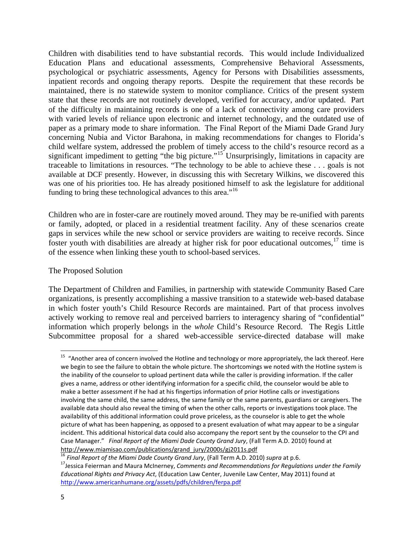Children with disabilities tend to have substantial records. This would include Individualized Education Plans and educational assessments, Comprehensive Behavioral Assessments, psychological or psychiatric assessments, Agency for Persons with Disabilities assessments, inpatient records and ongoing therapy reports. Despite the requirement that these records be maintained, there is no statewide system to monitor compliance. Critics of the present system state that these records are not routinely developed, verified for accuracy, and/or updated. Part of the difficulty in maintaining records is one of a lack of connectivity among care providers with varied levels of reliance upon electronic and internet technology, and the outdated use of paper as a primary mode to share information. The Final Report of the Miami Dade Grand Jury concerning Nubia and Victor Barahona, in making recommendations for changes to Florida's child welfare system, addressed the problem of timely access to the child's resource record as a significant impediment to getting "the big picture."<sup>[15](#page-4-0)</sup> Unsurprisingly, limitations in capacity are traceable to limitations in resources. "The technology to be able to achieve these . . . goals is not available at DCF presently. However, in discussing this with Secretary Wilkins, we discovered this was one of his priorities too. He has already positioned himself to ask the legislature for additional funding to bring these technological advances to this area."<sup>[16](#page-4-1)</sup>

Children who are in foster-care are routinely moved around. They may be re-unified with parents or family, adopted, or placed in a residential treatment facility. Any of these scenarios create gaps in services while the new school or service providers are waiting to receive records. Since foster youth with disabilities are already at higher risk for poor educational outcomes,  $17$  time is of the essence when linking these youth to school-based services.

# The Proposed Solution

The Department of Children and Families, in partnership with statewide Community Based Care organizations, is presently accomplishing a massive transition to a statewide web-based database in which foster youth's Child Resource Records are maintained. Part of that process involves actively working to remove real and perceived barriers to interagency sharing of "confidential" information which properly belongs in the *whole* Child's Resource Record. The Regis Little Subcommittee proposal for a shared web-accessible service-directed database will make

<span id="page-4-0"></span><sup>&</sup>lt;sup>15</sup> "Another area of concern involved the Hotline and technology or more appropriately, the lack thereof. Here we begin to see the failure to obtain the whole picture. The shortcomings we noted with the Hotline system is the inability of the counselor to upload pertinent data while the caller is providing information. If the caller gives a name, address or other identifying information for a specific child, the counselor would be able to make a better assessment if he had at his fingertips information of prior Hotline calls or investigations involving the same child, the same address, the same family or the same parents, guardians or caregivers. The available data should also reveal the timing of when the other calls, reports or investigations took place. The availability of this additional information could prove priceless, as the counselor is able to get the whole picture of what has been happening, as opposed to a present evaluation of what may appear to be a singular incident. This additional historical data could also accompany the report sent by the counselor to the CPI and Case Manager." *Final Report of the Miami Dade County Grand Jury*, (Fall Term A.D. 2010) found at http://www.miamisao.com/publications/grand\_jury/2000s/gj2011s.pdf<br><sup>16</sup> Final Report of the Miami Dade County Grand Jury, (Fall Term A.D. 2010) supra at p.6.<br><sup>17</sup> Jessica Feierman and Maura McInerney, Comments and Recommend

<span id="page-4-1"></span>

<span id="page-4-2"></span>*Educational Rights and Privacy Act*, (Education Law Center, Juvenile Law Center, May 2011) found at <http://www.americanhumane.org/assets/pdfs/children/ferpa.pdf>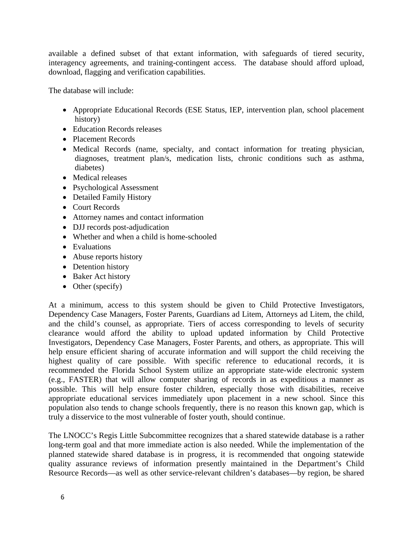available a defined subset of that extant information, with safeguards of tiered security, interagency agreements, and training-contingent access. The database should afford upload, download, flagging and verification capabilities.

The database will include:

- Appropriate Educational Records (ESE Status, IEP, intervention plan, school placement history)
- Education Records releases
- Placement Records
- Medical Records (name, specialty, and contact information for treating physician, diagnoses, treatment plan/s, medication lists, chronic conditions such as asthma, diabetes)
- Medical releases
- Psychological Assessment
- Detailed Family History
- Court Records
- Attorney names and contact information
- DJJ records post-adjudication
- Whether and when a child is home-schooled
- Evaluations
- Abuse reports history
- Detention history
- Baker Act history
- Other (specify)

At a minimum, access to this system should be given to Child Protective Investigators, Dependency Case Managers, Foster Parents, Guardians ad Litem, Attorneys ad Litem, the child, and the child's counsel, as appropriate. Tiers of access corresponding to levels of security clearance would afford the ability to upload updated information by Child Protective Investigators, Dependency Case Managers, Foster Parents, and others, as appropriate. This will help ensure efficient sharing of accurate information and will support the child receiving the highest quality of care possible. With specific reference to educational records, it is recommended the Florida School System utilize an appropriate state-wide electronic system (e.g., FASTER) that will allow computer sharing of records in as expeditious a manner as possible. This will help ensure foster children, especially those with disabilities, receive appropriate educational services immediately upon placement in a new school. Since this population also tends to change schools frequently, there is no reason this known gap, which is truly a disservice to the most vulnerable of foster youth, should continue.

The LNOCC's Regis Little Subcommittee recognizes that a shared statewide database is a rather long-term goal and that more immediate action is also needed. While the implementation of the planned statewide shared database is in progress, it is recommended that ongoing statewide quality assurance reviews of information presently maintained in the Department's Child Resource Records—as well as other service-relevant children's databases—by region, be shared